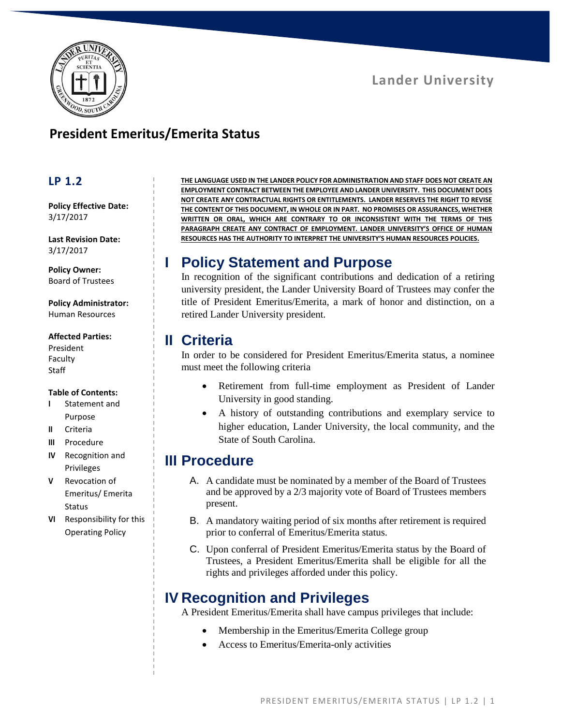



## **President Emeritus/Emerita Status**

#### **LP 1.2**

**Policy Effective Date:** 3/17/2017

**Last Revision Date:** 3/17/2017

**Policy Owner:** Board of Trustees

**Policy Administrator:** Human Resources

#### **Affected Parties:**

President Faculty Staff

#### **Table of Contents:**

- **I** Statement and Purpose
- **II** Criteria
- **III** Procedure
- **IV** Recognition and Privileges
- **V** Revocation of Emeritus/ Emerita **Status**
- **VI** Responsibility for this Operating Policy

**THE LANGUAGE USED IN THE LANDER POLICY FOR ADMINISTRATION AND STAFF DOES NOT CREATE AN EMPLOYMENT CONTRACT BETWEEN THE EMPLOYEE AND LANDER UNIVERSITY. THIS DOCUMENT DOES NOT CREATE ANY CONTRACTUAL RIGHTS OR ENTITLEMENTS. LANDER RESERVES THE RIGHT TO REVISE THE CONTENT OF THIS DOCUMENT, IN WHOLE OR IN PART. NO PROMISES OR ASSURANCES, WHETHER WRITTEN OR ORAL, WHICH ARE CONTRARY TO OR INCONSISTENT WITH THE TERMS OF THIS PARAGRAPH CREATE ANY CONTRACT OF EMPLOYMENT. LANDER UNIVERSITY'S OFFICE OF HUMAN RESOURCES HAS THE AUTHORITY TO INTERPRET THE UNIVERSITY'S HUMAN RESOURCES POLICIES.**

# **I Policy Statement and Purpose**

In recognition of the significant contributions and dedication of a retiring university president, the Lander University Board of Trustees may confer the title of President Emeritus/Emerita, a mark of honor and distinction, on a retired Lander University president.

### **II Criteria**

In order to be considered for President Emeritus/Emerita status, a nominee must meet the following criteria

- Retirement from full-time employment as President of Lander University in good standing.
- A history of outstanding contributions and exemplary service to higher education, Lander University, the local community, and the State of South Carolina.

### **III Procedure**

- A. A candidate must be nominated by a member of the Board of Trustees and be approved by a 2/3 majority vote of Board of Trustees members present.
- B. A mandatory waiting period of six months after retirement is required prior to conferral of Emeritus/Emerita status.
- C. Upon conferral of President Emeritus/Emerita status by the Board of Trustees, a President Emeritus/Emerita shall be eligible for all the rights and privileges afforded under this policy.

# **IV Recognition and Privileges**

A President Emeritus/Emerita shall have campus privileges that include:

- Membership in the Emeritus/Emerita College group
- Access to Emeritus/Emerita-only activities